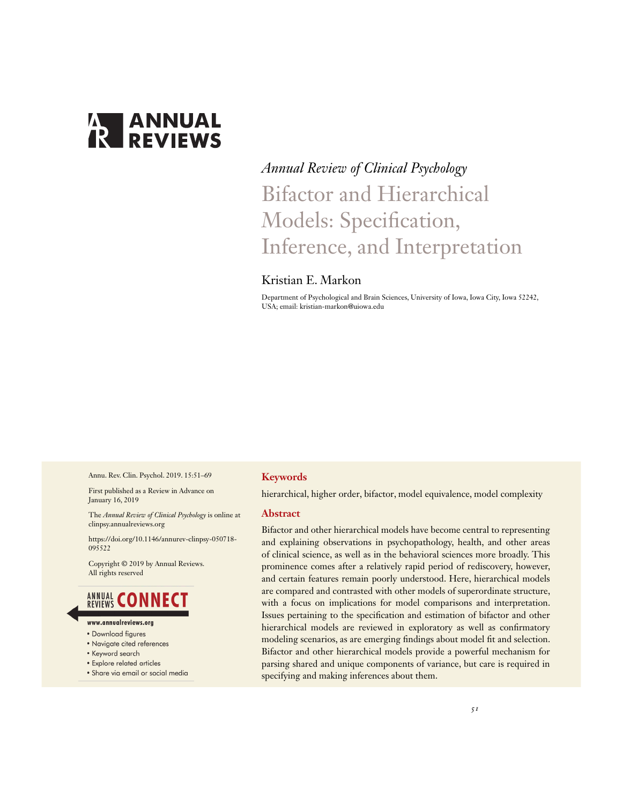# **ANNUAL**<br>**REVIEWS**

# *Annual Review of Clinical Psychology* Bifactor and Hierarchical Models: Specification, Inference, and Interpretation

### Kristian E. Markon

Department of Psychological and Brain Sciences, University of Iowa, Iowa City, Iowa 52242, USA; email: kristian-markon@uiowa.edu

Annu. Rev. Clin. Psychol. 2019. 15:51–69

First published as a Review in Advance on January 16, 2019

The *Annual Review of Clinical Psychology* is online at clinpsy.annualreviews.org

https://doi.org/10.1146/annurev-clinpsy-050718- 095522

Copyright © 2019 by Annual Reviews. All rights reserved

### **ANNUAL CONNECT**

- www.annualreviews.ora
- Download figures
- Navigate cited references
- Keyword search
- · Explore related articles
- · Share via email or social media

#### **Keywords**

hierarchical, higher order, bifactor, model equivalence, model complexity

#### **Abstract**

Bifactor and other hierarchical models have become central to representing and explaining observations in psychopathology, health, and other areas of clinical science, as well as in the behavioral sciences more broadly. This prominence comes after a relatively rapid period of rediscovery, however, and certain features remain poorly understood. Here, hierarchical models are compared and contrasted with other models of superordinate structure, with a focus on implications for model comparisons and interpretation. Issues pertaining to the specification and estimation of bifactor and other hierarchical models are reviewed in exploratory as well as confirmatory modeling scenarios, as are emerging findings about model fit and selection. Bifactor and other hierarchical models provide a powerful mechanism for parsing shared and unique components of variance, but care is required in specifying and making inferences about them.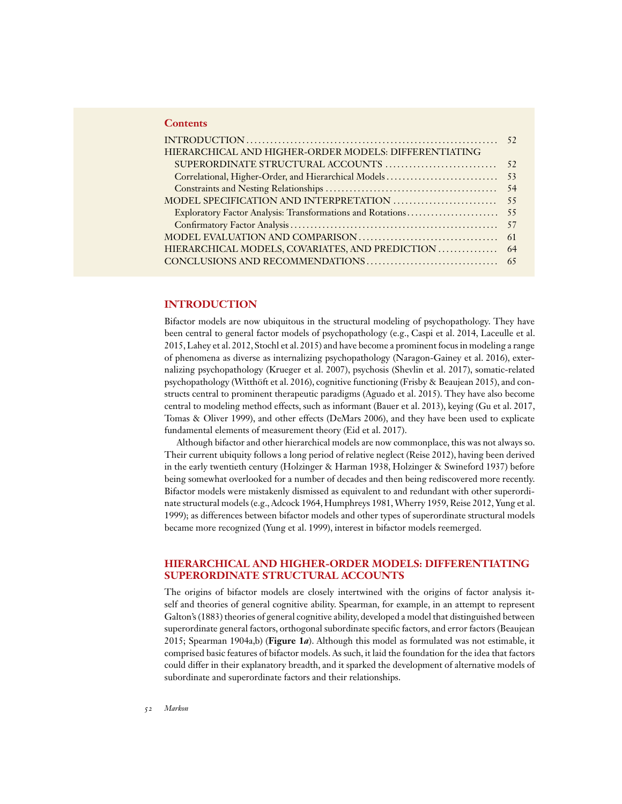#### **Contents**

| HIERARCHICAL AND HIGHER-ORDER MODELS: DIFFERENTIATING |  |
|-------------------------------------------------------|--|
|                                                       |  |
|                                                       |  |
|                                                       |  |
|                                                       |  |
|                                                       |  |
|                                                       |  |
|                                                       |  |
|                                                       |  |
|                                                       |  |

#### **INTRODUCTION**

Bifactor models are now ubiquitous in the structural modeling of psychopathology. They have been central to general factor models of psychopathology (e.g., Caspi et al. 2014, Laceulle et al. 2015, Lahey et al. 2012, Stochl et al. 2015) and have become a prominent focus in modeling a range of phenomena as diverse as internalizing psychopathology (Naragon-Gainey et al. 2016), externalizing psychopathology (Krueger et al. 2007), psychosis (Shevlin et al. 2017), somatic-related psychopathology (Witthöft et al. 2016), cognitive functioning (Frisby & Beaujean 2015), and constructs central to prominent therapeutic paradigms (Aguado et al. 2015). They have also become central to modeling method effects, such as informant (Bauer et al. 2013), keying (Gu et al. 2017, Tomas & Oliver 1999), and other effects (DeMars 2006), and they have been used to explicate fundamental elements of measurement theory (Eid et al. 2017).

Although bifactor and other hierarchical models are now commonplace, this was not always so. Their current ubiquity follows a long period of relative neglect (Reise 2012), having been derived in the early twentieth century (Holzinger & Harman 1938, Holzinger & Swineford 1937) before being somewhat overlooked for a number of decades and then being rediscovered more recently. Bifactor models were mistakenly dismissed as equivalent to and redundant with other superordinate structural models (e.g., Adcock 1964, Humphreys 1981,Wherry 1959, Reise 2012, Yung et al. 1999); as differences between bifactor models and other types of superordinate structural models became more recognized (Yung et al. 1999), interest in bifactor models reemerged.

#### **HIERARCHICAL AND HIGHER-ORDER MODELS: DIFFERENTIATING SUPERORDINATE STRUCTURAL ACCOUNTS**

The origins of bifactor models are closely intertwined with the origins of factor analysis itself and theories of general cognitive ability. Spearman, for example, in an attempt to represent Galton's (1883) theories of general cognitive ability, developed a model that distinguished between superordinate general factors, orthogonal subordinate specific factors, and error factors (Beaujean 2015; Spearman 1904a,b) (**Figure 1***a*). Although this model as formulated was not estimable, it comprised basic features of bifactor models. As such, it laid the foundation for the idea that factors could differ in their explanatory breadth, and it sparked the development of alternative models of subordinate and superordinate factors and their relationships.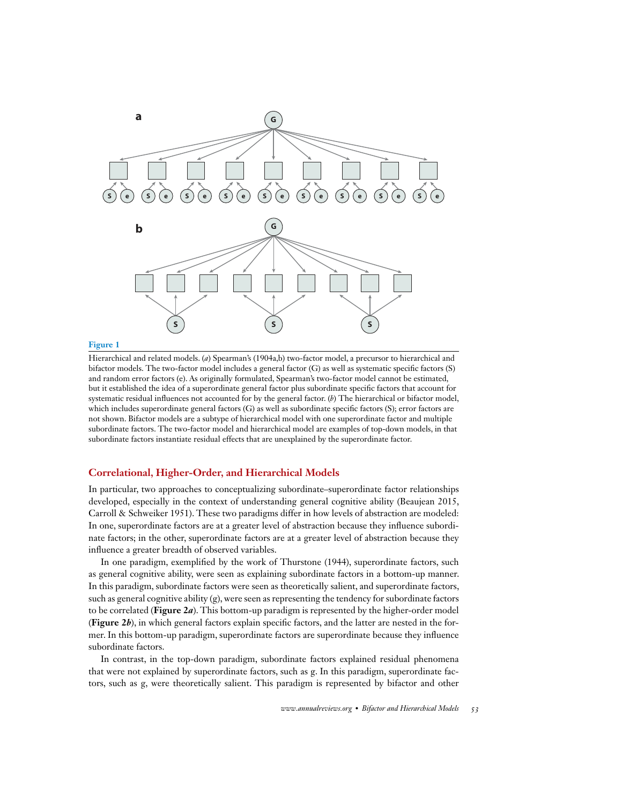

#### **Figure 1**

Hierarchical and related models. (*a*) Spearman's (1904a,b) two-factor model, a precursor to hierarchical and bifactor models. The two-factor model includes a general factor (G) as well as systematic specific factors (S) and random error factors (e). As originally formulated, Spearman's two-factor model cannot be estimated, but it established the idea of a superordinate general factor plus subordinate specific factors that account for systematic residual influences not accounted for by the general factor. (*b*) The hierarchical or bifactor model, which includes superordinate general factors (G) as well as subordinate specific factors (S); error factors are not shown. Bifactor models are a subtype of hierarchical model with one superordinate factor and multiple subordinate factors. The two-factor model and hierarchical model are examples of top-down models, in that subordinate factors instantiate residual effects that are unexplained by the superordinate factor.

#### **Correlational, Higher-Order, and Hierarchical Models**

In particular, two approaches to conceptualizing subordinate–superordinate factor relationships developed, especially in the context of understanding general cognitive ability (Beaujean 2015, Carroll & Schweiker 1951). These two paradigms differ in how levels of abstraction are modeled: In one, superordinate factors are at a greater level of abstraction because they influence subordinate factors; in the other, superordinate factors are at a greater level of abstraction because they influence a greater breadth of observed variables.

In one paradigm, exemplified by the work of Thurstone (1944), superordinate factors, such as general cognitive ability, were seen as explaining subordinate factors in a bottom-up manner. In this paradigm, subordinate factors were seen as theoretically salient, and superordinate factors, such as general cognitive ability  $(g)$ , were seen as representing the tendency for subordinate factors to be correlated (**Figure 2***a*). This bottom-up paradigm is represented by the higher-order model (**Figure 2***b*), in which general factors explain specific factors, and the latter are nested in the former. In this bottom-up paradigm, superordinate factors are superordinate because they influence subordinate factors.

In contrast, in the top-down paradigm, subordinate factors explained residual phenomena that were not explained by superordinate factors, such as g. In this paradigm, superordinate factors, such as g, were theoretically salient. This paradigm is represented by bifactor and other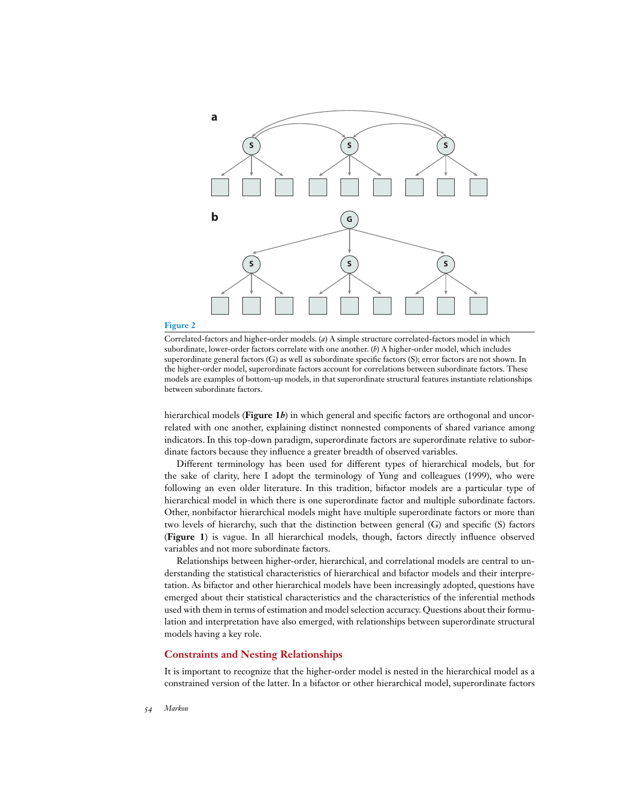

#### **Figure 2**

Correlated-factors and higher-order models. (*a*) A simple structure correlated-factors model in which subordinate, lower-order factors correlate with one another. (*b*) A higher-order model, which includes superordinate general factors (G) as well as subordinate specific factors (S); error factors are not shown. In the higher-order model, superordinate factors account for correlations between subordinate factors. These models are examples of bottom-up models, in that superordinate structural features instantiate relationships between subordinate factors.

hierarchical models (**Figure 1***b*) in which general and specific factors are orthogonal and uncorrelated with one another, explaining distinct nonnested components of shared variance among indicators. In this top-down paradigm, superordinate factors are superordinate relative to subordinate factors because they influence a greater breadth of observed variables.

Different terminology has been used for different types of hierarchical models, but for the sake of clarity, here I adopt the terminology of Yung and colleagues (1999), who were following an even older literature. In this tradition, bifactor models are a particular type of hierarchical model in which there is one superordinate factor and multiple subordinate factors. Other, nonbifactor hierarchical models might have multiple superordinate factors or more than two levels of hierarchy, such that the distinction between general (G) and specific (S) factors (**Figure 1**) is vague. In all hierarchical models, though, factors directly influence observed variables and not more subordinate factors.

Relationships between higher-order, hierarchical, and correlational models are central to understanding the statistical characteristics of hierarchical and bifactor models and their interpretation. As bifactor and other hierarchical models have been increasingly adopted, questions have emerged about their statistical characteristics and the characteristics of the inferential methods used with them in terms of estimation and model selection accuracy. Questions about their formulation and interpretation have also emerged, with relationships between superordinate structural models having a key role.

#### **Constraints and Nesting Relationships**

It is important to recognize that the higher-order model is nested in the hierarchical model as a constrained version of the latter. In a bifactor or other hierarchical model, superordinate factors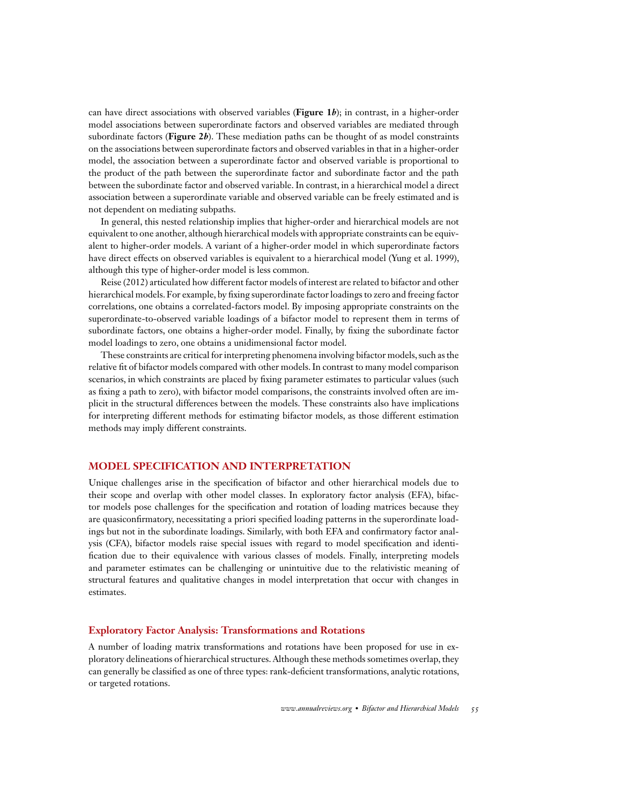can have direct associations with observed variables (**Figure 1***b*); in contrast, in a higher-order model associations between superordinate factors and observed variables are mediated through subordinate factors (**Figure 2***b*). These mediation paths can be thought of as model constraints on the associations between superordinate factors and observed variables in that in a higher-order model, the association between a superordinate factor and observed variable is proportional to the product of the path between the superordinate factor and subordinate factor and the path between the subordinate factor and observed variable. In contrast, in a hierarchical model a direct association between a superordinate variable and observed variable can be freely estimated and is not dependent on mediating subpaths.

In general, this nested relationship implies that higher-order and hierarchical models are not equivalent to one another, although hierarchical models with appropriate constraints can be equivalent to higher-order models. A variant of a higher-order model in which superordinate factors have direct effects on observed variables is equivalent to a hierarchical model (Yung et al. 1999), although this type of higher-order model is less common.

Reise (2012) articulated how different factor models of interest are related to bifactor and other hierarchical models. For example, by fixing superordinate factor loadings to zero and freeing factor correlations, one obtains a correlated-factors model. By imposing appropriate constraints on the superordinate-to-observed variable loadings of a bifactor model to represent them in terms of subordinate factors, one obtains a higher-order model. Finally, by fixing the subordinate factor model loadings to zero, one obtains a unidimensional factor model.

These constraints are critical for interpreting phenomena involving bifactor models, such as the relative fit of bifactor models compared with other models. In contrast to many model comparison scenarios, in which constraints are placed by fixing parameter estimates to particular values (such as fixing a path to zero), with bifactor model comparisons, the constraints involved often are implicit in the structural differences between the models. These constraints also have implications for interpreting different methods for estimating bifactor models, as those different estimation methods may imply different constraints.

#### **MODEL SPECIFICATION AND INTERPRETATION**

Unique challenges arise in the specification of bifactor and other hierarchical models due to their scope and overlap with other model classes. In exploratory factor analysis (EFA), bifactor models pose challenges for the specification and rotation of loading matrices because they are quasiconfirmatory, necessitating a priori specified loading patterns in the superordinate loadings but not in the subordinate loadings. Similarly, with both EFA and confirmatory factor analysis (CFA), bifactor models raise special issues with regard to model specification and identification due to their equivalence with various classes of models. Finally, interpreting models and parameter estimates can be challenging or unintuitive due to the relativistic meaning of structural features and qualitative changes in model interpretation that occur with changes in estimates.

#### **Exploratory Factor Analysis: Transformations and Rotations**

A number of loading matrix transformations and rotations have been proposed for use in exploratory delineations of hierarchical structures. Although these methods sometimes overlap, they can generally be classified as one of three types: rank-deficient transformations, analytic rotations, or targeted rotations.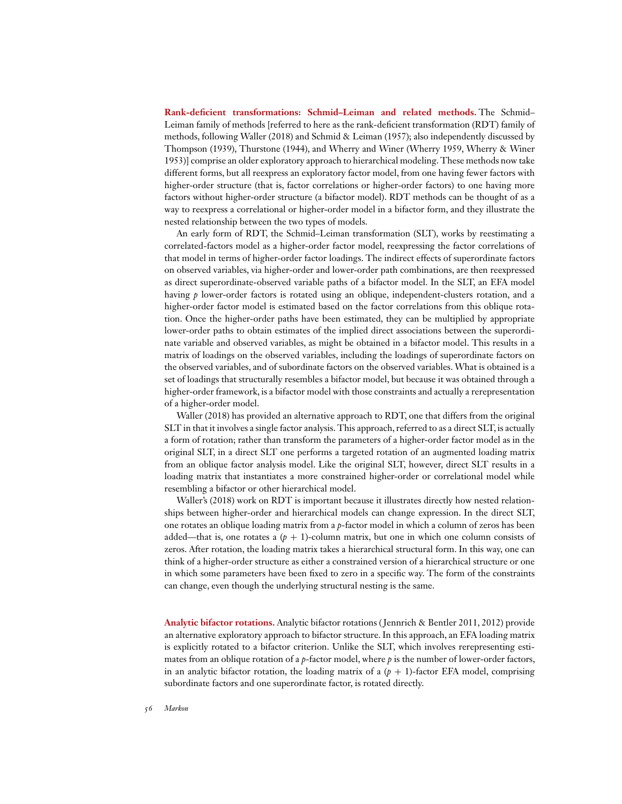**Rank-deficient transformations: Schmid–Leiman and related methods.** The Schmid– Leiman family of methods [referred to here as the rank-deficient transformation (RDT) family of methods, following Waller (2018) and Schmid & Leiman (1957); also independently discussed by Thompson (1939), Thurstone (1944), and Wherry and Winer (Wherry 1959, Wherry & Winer 1953)] comprise an older exploratory approach to hierarchical modeling. These methods now take different forms, but all reexpress an exploratory factor model, from one having fewer factors with higher-order structure (that is, factor correlations or higher-order factors) to one having more factors without higher-order structure (a bifactor model). RDT methods can be thought of as a way to reexpress a correlational or higher-order model in a bifactor form, and they illustrate the nested relationship between the two types of models.

An early form of RDT, the Schmid–Leiman transformation (SLT), works by reestimating a correlated-factors model as a higher-order factor model, reexpressing the factor correlations of that model in terms of higher-order factor loadings. The indirect effects of superordinate factors on observed variables, via higher-order and lower-order path combinations, are then reexpressed as direct superordinate-observed variable paths of a bifactor model. In the SLT, an EFA model having *p* lower-order factors is rotated using an oblique, independent-clusters rotation, and a higher-order factor model is estimated based on the factor correlations from this oblique rotation. Once the higher-order paths have been estimated, they can be multiplied by appropriate lower-order paths to obtain estimates of the implied direct associations between the superordinate variable and observed variables, as might be obtained in a bifactor model. This results in a matrix of loadings on the observed variables, including the loadings of superordinate factors on the observed variables, and of subordinate factors on the observed variables. What is obtained is a set of loadings that structurally resembles a bifactor model, but because it was obtained through a higher-order framework, is a bifactor model with those constraints and actually a rerepresentation of a higher-order model.

Waller (2018) has provided an alternative approach to RDT, one that differs from the original SLT in that it involves a single factor analysis. This approach, referred to as a direct SLT, is actually a form of rotation; rather than transform the parameters of a higher-order factor model as in the original SLT, in a direct SLT one performs a targeted rotation of an augmented loading matrix from an oblique factor analysis model. Like the original SLT, however, direct SLT results in a loading matrix that instantiates a more constrained higher-order or correlational model while resembling a bifactor or other hierarchical model.

Waller's (2018) work on RDT is important because it illustrates directly how nested relationships between higher-order and hierarchical models can change expression. In the direct SLT, one rotates an oblique loading matrix from a *p*-factor model in which a column of zeros has been added—that is, one rotates a  $(p + 1)$ -column matrix, but one in which one column consists of zeros. After rotation, the loading matrix takes a hierarchical structural form. In this way, one can think of a higher-order structure as either a constrained version of a hierarchical structure or one in which some parameters have been fixed to zero in a specific way. The form of the constraints can change, even though the underlying structural nesting is the same.

**Analytic bifactor rotations.** Analytic bifactor rotations ( Jennrich & Bentler 2011, 2012) provide an alternative exploratory approach to bifactor structure. In this approach, an EFA loading matrix is explicitly rotated to a bifactor criterion. Unlike the SLT, which involves rerepresenting estimates from an oblique rotation of a *p*-factor model, where *p* is the number of lower-order factors, in an analytic bifactor rotation, the loading matrix of a  $(p + 1)$ -factor EFA model, comprising subordinate factors and one superordinate factor, is rotated directly.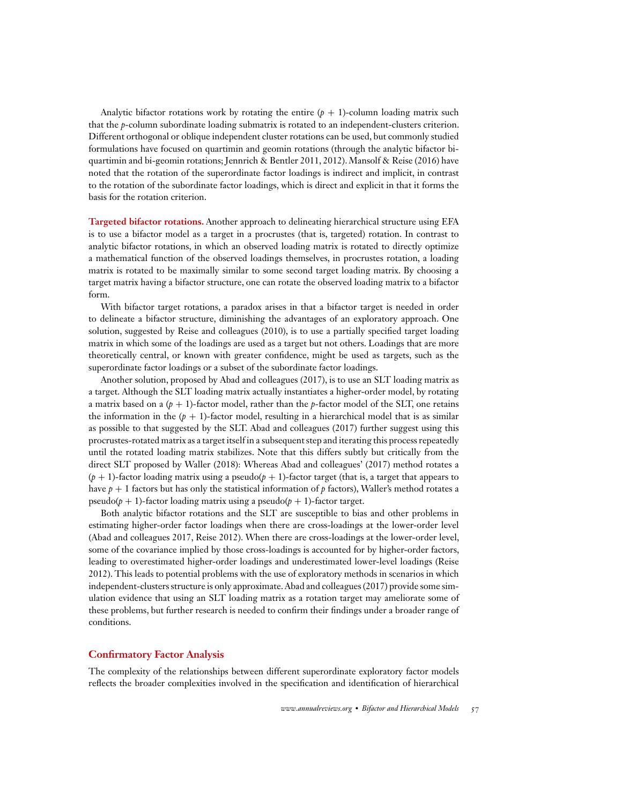Analytic bifactor rotations work by rotating the entire  $(p + 1)$ -column loading matrix such that the *p*-column subordinate loading submatrix is rotated to an independent-clusters criterion. Different orthogonal or oblique independent cluster rotations can be used, but commonly studied formulations have focused on quartimin and geomin rotations (through the analytic bifactor biquartimin and bi-geomin rotations; Jennrich & Bentler 2011, 2012). Mansolf & Reise (2016) have noted that the rotation of the superordinate factor loadings is indirect and implicit, in contrast to the rotation of the subordinate factor loadings, which is direct and explicit in that it forms the basis for the rotation criterion.

**Targeted bifactor rotations.** Another approach to delineating hierarchical structure using EFA is to use a bifactor model as a target in a procrustes (that is, targeted) rotation. In contrast to analytic bifactor rotations, in which an observed loading matrix is rotated to directly optimize a mathematical function of the observed loadings themselves, in procrustes rotation, a loading matrix is rotated to be maximally similar to some second target loading matrix. By choosing a target matrix having a bifactor structure, one can rotate the observed loading matrix to a bifactor form.

With bifactor target rotations, a paradox arises in that a bifactor target is needed in order to delineate a bifactor structure, diminishing the advantages of an exploratory approach. One solution, suggested by Reise and colleagues (2010), is to use a partially specified target loading matrix in which some of the loadings are used as a target but not others. Loadings that are more theoretically central, or known with greater confidence, might be used as targets, such as the superordinate factor loadings or a subset of the subordinate factor loadings.

Another solution, proposed by Abad and colleagues (2017), is to use an SLT loading matrix as a target. Although the SLT loading matrix actually instantiates a higher-order model, by rotating a matrix based on a  $(p + 1)$ -factor model, rather than the *p*-factor model of the SLT, one retains the information in the  $(p + 1)$ -factor model, resulting in a hierarchical model that is as similar as possible to that suggested by the SLT. Abad and colleagues (2017) further suggest using this procrustes-rotated matrix as a target itself in a subsequent step and iterating this process repeatedly until the rotated loading matrix stabilizes. Note that this differs subtly but critically from the direct SLT proposed by Waller (2018): Whereas Abad and colleagues' (2017) method rotates a  $(p + 1)$ -factor loading matrix using a pseudo $(p + 1)$ -factor target (that is, a target that appears to have *p* + 1 factors but has only the statistical information of *p* factors), Waller's method rotates a pseudo( $p + 1$ )-factor loading matrix using a pseudo( $p + 1$ )-factor target.

Both analytic bifactor rotations and the SLT are susceptible to bias and other problems in estimating higher-order factor loadings when there are cross-loadings at the lower-order level (Abad and colleagues 2017, Reise 2012). When there are cross-loadings at the lower-order level, some of the covariance implied by those cross-loadings is accounted for by higher-order factors, leading to overestimated higher-order loadings and underestimated lower-level loadings (Reise 2012). This leads to potential problems with the use of exploratory methods in scenarios in which independent-clusters structure is only approximate. Abad and colleagues (2017) provide some simulation evidence that using an SLT loading matrix as a rotation target may ameliorate some of these problems, but further research is needed to confirm their findings under a broader range of conditions.

#### **Confirmatory Factor Analysis**

The complexity of the relationships between different superordinate exploratory factor models reflects the broader complexities involved in the specification and identification of hierarchical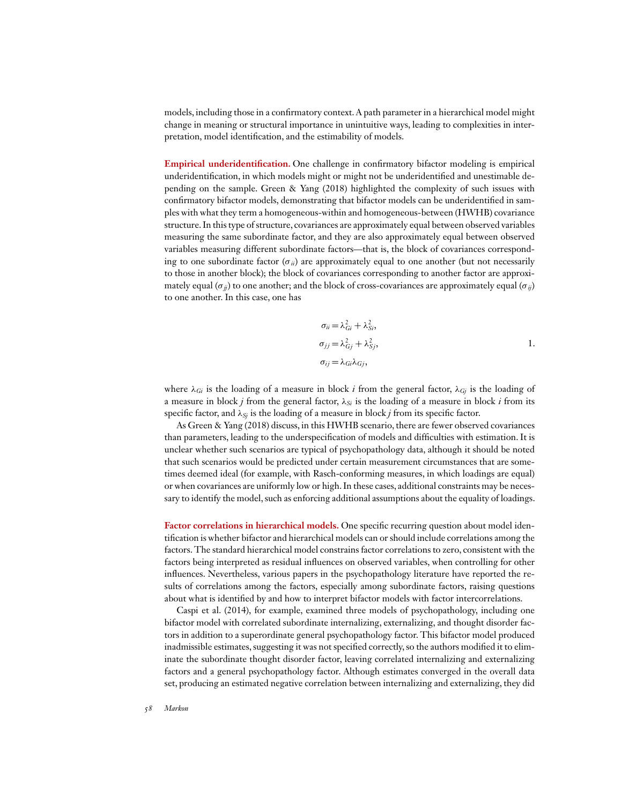models, including those in a confirmatory context. A path parameter in a hierarchical model might change in meaning or structural importance in unintuitive ways, leading to complexities in interpretation, model identification, and the estimability of models.

**Empirical underidentification.** One challenge in confirmatory bifactor modeling is empirical underidentification, in which models might or might not be underidentified and unestimable depending on the sample. Green & Yang (2018) highlighted the complexity of such issues with confirmatory bifactor models, demonstrating that bifactor models can be underidentified in samples with what they term a homogeneous-within and homogeneous-between (HWHB) covariance structure. In this type of structure, covariances are approximately equal between observed variables measuring the same subordinate factor, and they are also approximately equal between observed variables measuring different subordinate factors—that is, the block of covariances corresponding to one subordinate factor (σ*ii*) are approximately equal to one another (but not necessarily to those in another block); the block of covariances corresponding to another factor are approximately equal ( $\sigma_{jj}$ ) to one another; and the block of cross-covariances are approximately equal ( $\sigma_{jj}$ ) to one another. In this case, one has

$$
\sigma_{ii} = \lambda_{Gi}^2 + \lambda_{Si}^2,
$$
  
\n
$$
\sigma_{jj} = \lambda_{Gj}^2 + \lambda_{Sj}^2,
$$
  
\n
$$
\sigma_{ij} = \lambda_{Gi} \lambda_{Gj},
$$
 1.

where  $\lambda_{Gi}$  is the loading of a measure in block *i* from the general factor,  $\lambda_{Gi}$  is the loading of a measure in block *j* from the general factor,  $\lambda_{Si}$  is the loading of a measure in block *i* from its specific factor, and  $\lambda_{Si}$  is the loading of a measure in block *j* from its specific factor.

As Green & Yang (2018) discuss, in this HWHB scenario, there are fewer observed covariances than parameters, leading to the underspecification of models and difficulties with estimation. It is unclear whether such scenarios are typical of psychopathology data, although it should be noted that such scenarios would be predicted under certain measurement circumstances that are sometimes deemed ideal (for example, with Rasch-conforming measures, in which loadings are equal) or when covariances are uniformly low or high. In these cases, additional constraints may be necessary to identify the model, such as enforcing additional assumptions about the equality of loadings.

**Factor correlations in hierarchical models.** One specific recurring question about model identification is whether bifactor and hierarchical models can or should include correlations among the factors. The standard hierarchical model constrains factor correlations to zero, consistent with the factors being interpreted as residual influences on observed variables, when controlling for other influences. Nevertheless, various papers in the psychopathology literature have reported the results of correlations among the factors, especially among subordinate factors, raising questions about what is identified by and how to interpret bifactor models with factor intercorrelations.

Caspi et al. (2014), for example, examined three models of psychopathology, including one bifactor model with correlated subordinate internalizing, externalizing, and thought disorder factors in addition to a superordinate general psychopathology factor. This bifactor model produced inadmissible estimates, suggesting it was not specified correctly, so the authors modified it to eliminate the subordinate thought disorder factor, leaving correlated internalizing and externalizing factors and a general psychopathology factor. Although estimates converged in the overall data set, producing an estimated negative correlation between internalizing and externalizing, they did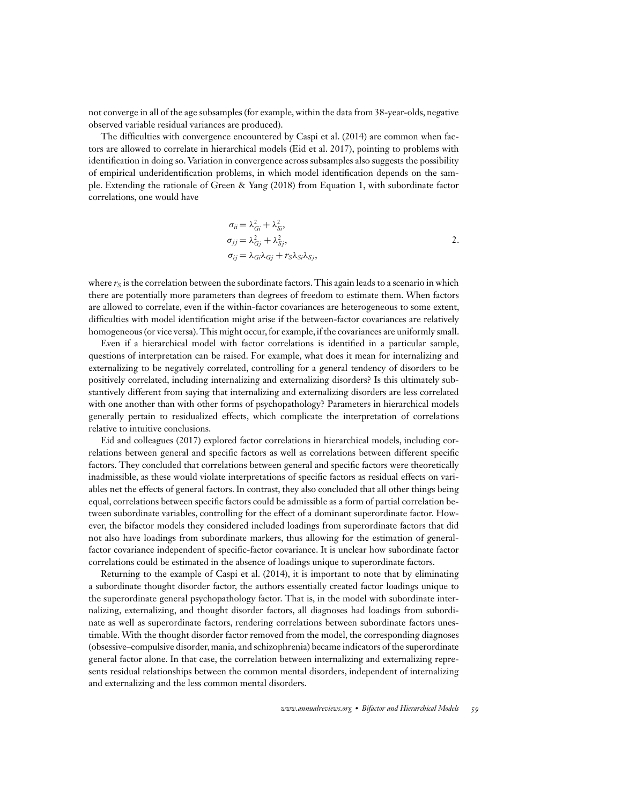not converge in all of the age subsamples (for example, within the data from 38-year-olds, negative observed variable residual variances are produced).

The difficulties with convergence encountered by Caspi et al. (2014) are common when factors are allowed to correlate in hierarchical models (Eid et al. 2017), pointing to problems with identification in doing so. Variation in convergence across subsamples also suggests the possibility of empirical underidentification problems, in which model identification depends on the sample. Extending the rationale of Green & Yang (2018) from Equation 1, with subordinate factor correlations, one would have

$$
\sigma_{ii} = \lambda_{Gi}^2 + \lambda_{Si}^2,
$$
  
\n
$$
\sigma_{jj} = \lambda_{Gi}^2 + \lambda_{Sj}^2,
$$
  
\n
$$
\sigma_{ij} = \lambda_{Gi} \lambda_{Gi} + r_S \lambda_{Si} \lambda_{Sj},
$$

where  $r<sub>S</sub>$  is the correlation between the subordinate factors. This again leads to a scenario in which there are potentially more parameters than degrees of freedom to estimate them. When factors are allowed to correlate, even if the within-factor covariances are heterogeneous to some extent, difficulties with model identification might arise if the between-factor covariances are relatively homogeneous (or vice versa). This might occur, for example, if the covariances are uniformly small.

Even if a hierarchical model with factor correlations is identified in a particular sample, questions of interpretation can be raised. For example, what does it mean for internalizing and externalizing to be negatively correlated, controlling for a general tendency of disorders to be positively correlated, including internalizing and externalizing disorders? Is this ultimately substantively different from saying that internalizing and externalizing disorders are less correlated with one another than with other forms of psychopathology? Parameters in hierarchical models generally pertain to residualized effects, which complicate the interpretation of correlations relative to intuitive conclusions.

Eid and colleagues (2017) explored factor correlations in hierarchical models, including correlations between general and specific factors as well as correlations between different specific factors. They concluded that correlations between general and specific factors were theoretically inadmissible, as these would violate interpretations of specific factors as residual effects on variables net the effects of general factors. In contrast, they also concluded that all other things being equal, correlations between specific factors could be admissible as a form of partial correlation between subordinate variables, controlling for the effect of a dominant superordinate factor. However, the bifactor models they considered included loadings from superordinate factors that did not also have loadings from subordinate markers, thus allowing for the estimation of generalfactor covariance independent of specific-factor covariance. It is unclear how subordinate factor correlations could be estimated in the absence of loadings unique to superordinate factors.

Returning to the example of Caspi et al. (2014), it is important to note that by eliminating a subordinate thought disorder factor, the authors essentially created factor loadings unique to the superordinate general psychopathology factor. That is, in the model with subordinate internalizing, externalizing, and thought disorder factors, all diagnoses had loadings from subordinate as well as superordinate factors, rendering correlations between subordinate factors unestimable. With the thought disorder factor removed from the model, the corresponding diagnoses (obsessive–compulsive disorder, mania, and schizophrenia) became indicators of the superordinate general factor alone. In that case, the correlation between internalizing and externalizing represents residual relationships between the common mental disorders, independent of internalizing and externalizing and the less common mental disorders.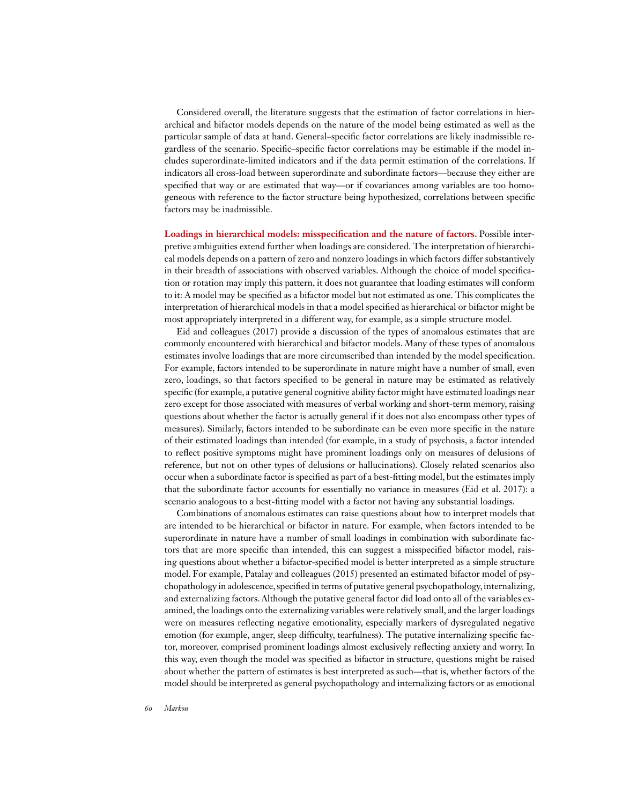Considered overall, the literature suggests that the estimation of factor correlations in hierarchical and bifactor models depends on the nature of the model being estimated as well as the particular sample of data at hand. General–specific factor correlations are likely inadmissible regardless of the scenario. Specific–specific factor correlations may be estimable if the model includes superordinate-limited indicators and if the data permit estimation of the correlations. If indicators all cross-load between superordinate and subordinate factors—because they either are specified that way or are estimated that way—or if covariances among variables are too homogeneous with reference to the factor structure being hypothesized, correlations between specific factors may be inadmissible.

**Loadings in hierarchical models: misspecification and the nature of factors.** Possible interpretive ambiguities extend further when loadings are considered. The interpretation of hierarchical models depends on a pattern of zero and nonzero loadings in which factors differ substantively in their breadth of associations with observed variables. Although the choice of model specification or rotation may imply this pattern, it does not guarantee that loading estimates will conform to it: A model may be specified as a bifactor model but not estimated as one. This complicates the interpretation of hierarchical models in that a model specified as hierarchical or bifactor might be most appropriately interpreted in a different way, for example, as a simple structure model.

Eid and colleagues (2017) provide a discussion of the types of anomalous estimates that are commonly encountered with hierarchical and bifactor models. Many of these types of anomalous estimates involve loadings that are more circumscribed than intended by the model specification. For example, factors intended to be superordinate in nature might have a number of small, even zero, loadings, so that factors specified to be general in nature may be estimated as relatively specific (for example, a putative general cognitive ability factor might have estimated loadings near zero except for those associated with measures of verbal working and short-term memory, raising questions about whether the factor is actually general if it does not also encompass other types of measures). Similarly, factors intended to be subordinate can be even more specific in the nature of their estimated loadings than intended (for example, in a study of psychosis, a factor intended to reflect positive symptoms might have prominent loadings only on measures of delusions of reference, but not on other types of delusions or hallucinations). Closely related scenarios also occur when a subordinate factor is specified as part of a best-fitting model, but the estimates imply that the subordinate factor accounts for essentially no variance in measures (Eid et al. 2017): a scenario analogous to a best-fitting model with a factor not having any substantial loadings.

Combinations of anomalous estimates can raise questions about how to interpret models that are intended to be hierarchical or bifactor in nature. For example, when factors intended to be superordinate in nature have a number of small loadings in combination with subordinate factors that are more specific than intended, this can suggest a misspecified bifactor model, raising questions about whether a bifactor-specified model is better interpreted as a simple structure model. For example, Patalay and colleagues (2015) presented an estimated bifactor model of psychopathology in adolescence, specified in terms of putative general psychopathology,internalizing, and externalizing factors. Although the putative general factor did load onto all of the variables examined, the loadings onto the externalizing variables were relatively small, and the larger loadings were on measures reflecting negative emotionality, especially markers of dysregulated negative emotion (for example, anger, sleep difficulty, tearfulness). The putative internalizing specific factor, moreover, comprised prominent loadings almost exclusively reflecting anxiety and worry. In this way, even though the model was specified as bifactor in structure, questions might be raised about whether the pattern of estimates is best interpreted as such—that is, whether factors of the model should be interpreted as general psychopathology and internalizing factors or as emotional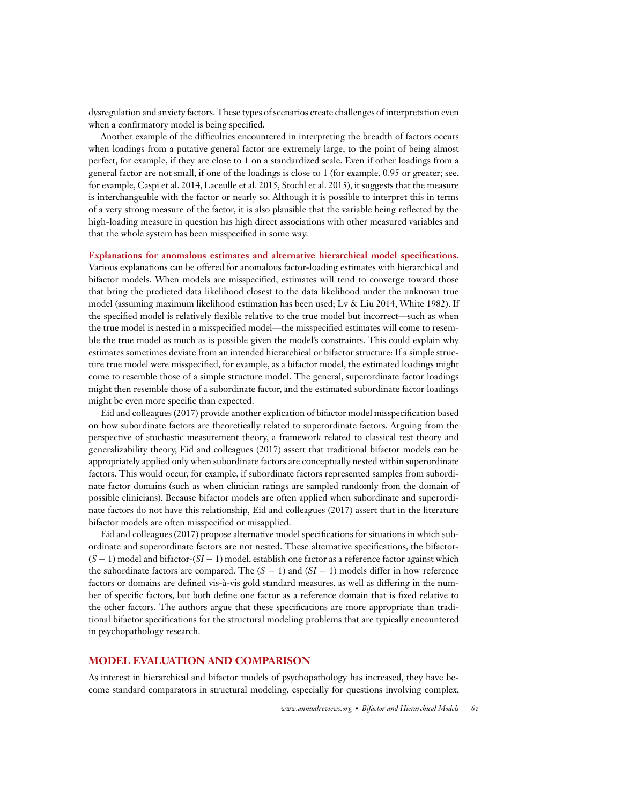dysregulation and anxiety factors. These types of scenarios create challenges of interpretation even when a confirmatory model is being specified.

Another example of the difficulties encountered in interpreting the breadth of factors occurs when loadings from a putative general factor are extremely large, to the point of being almost perfect, for example, if they are close to 1 on a standardized scale. Even if other loadings from a general factor are not small, if one of the loadings is close to 1 (for example, 0.95 or greater; see, for example, Caspi et al. 2014, Laceulle et al. 2015, Stochl et al. 2015), it suggests that the measure is interchangeable with the factor or nearly so. Although it is possible to interpret this in terms of a very strong measure of the factor, it is also plausible that the variable being reflected by the high-loading measure in question has high direct associations with other measured variables and that the whole system has been misspecified in some way.

#### **Explanations for anomalous estimates and alternative hierarchical model specifications.**

Various explanations can be offered for anomalous factor-loading estimates with hierarchical and bifactor models. When models are misspecified, estimates will tend to converge toward those that bring the predicted data likelihood closest to the data likelihood under the unknown true model (assuming maximum likelihood estimation has been used; Lv & Liu 2014, White 1982). If the specified model is relatively flexible relative to the true model but incorrect—such as when the true model is nested in a misspecified model—the misspecified estimates will come to resemble the true model as much as is possible given the model's constraints. This could explain why estimates sometimes deviate from an intended hierarchical or bifactor structure: If a simple structure true model were misspecified, for example, as a bifactor model, the estimated loadings might come to resemble those of a simple structure model. The general, superordinate factor loadings might then resemble those of a subordinate factor, and the estimated subordinate factor loadings might be even more specific than expected.

Eid and colleagues (2017) provide another explication of bifactor model misspecification based on how subordinate factors are theoretically related to superordinate factors. Arguing from the perspective of stochastic measurement theory, a framework related to classical test theory and generalizability theory, Eid and colleagues (2017) assert that traditional bifactor models can be appropriately applied only when subordinate factors are conceptually nested within superordinate factors. This would occur, for example, if subordinate factors represented samples from subordinate factor domains (such as when clinician ratings are sampled randomly from the domain of possible clinicians). Because bifactor models are often applied when subordinate and superordinate factors do not have this relationship, Eid and colleagues (2017) assert that in the literature bifactor models are often misspecified or misapplied.

Eid and colleagues (2017) propose alternative model specifications for situations in which subordinate and superordinate factors are not nested. These alternative specifications, the bifactor- (*S* − 1) model and bifactor-(*SI* − 1) model, establish one factor as a reference factor against which the subordinate factors are compared. The (*S* − 1) and (*SI* − 1) models differ in how reference factors or domains are defined vis-à-vis gold standard measures, as well as differing in the number of specific factors, but both define one factor as a reference domain that is fixed relative to the other factors. The authors argue that these specifications are more appropriate than traditional bifactor specifications for the structural modeling problems that are typically encountered in psychopathology research.

#### **MODEL EVALUATION AND COMPARISON**

As interest in hierarchical and bifactor models of psychopathology has increased, they have become standard comparators in structural modeling, especially for questions involving complex,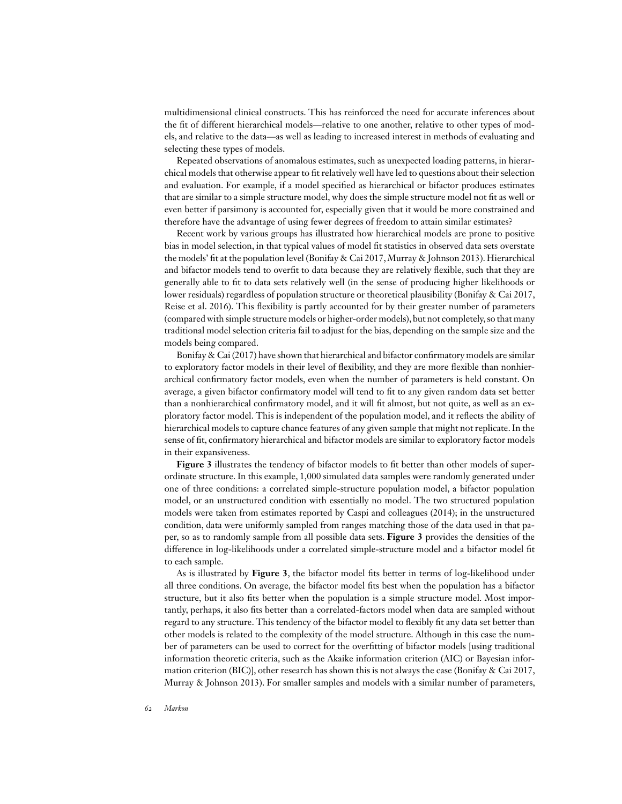multidimensional clinical constructs. This has reinforced the need for accurate inferences about the fit of different hierarchical models—relative to one another, relative to other types of models, and relative to the data—as well as leading to increased interest in methods of evaluating and selecting these types of models.

Repeated observations of anomalous estimates, such as unexpected loading patterns, in hierarchical models that otherwise appear to fit relatively well have led to questions about their selection and evaluation. For example, if a model specified as hierarchical or bifactor produces estimates that are similar to a simple structure model, why does the simple structure model not fit as well or even better if parsimony is accounted for, especially given that it would be more constrained and therefore have the advantage of using fewer degrees of freedom to attain similar estimates?

Recent work by various groups has illustrated how hierarchical models are prone to positive bias in model selection, in that typical values of model fit statistics in observed data sets overstate the models' fit at the population level (Bonifay & Cai 2017,Murray & Johnson 2013). Hierarchical and bifactor models tend to overfit to data because they are relatively flexible, such that they are generally able to fit to data sets relatively well (in the sense of producing higher likelihoods or lower residuals) regardless of population structure or theoretical plausibility (Bonifay & Cai 2017, Reise et al. 2016). This flexibility is partly accounted for by their greater number of parameters (compared with simple structure models or higher-order models), but not completely, so that many traditional model selection criteria fail to adjust for the bias, depending on the sample size and the models being compared.

Bonifay  $\&$  Cai (2017) have shown that hierarchical and bifactor confirmatory models are similar to exploratory factor models in their level of flexibility, and they are more flexible than nonhierarchical confirmatory factor models, even when the number of parameters is held constant. On average, a given bifactor confirmatory model will tend to fit to any given random data set better than a nonhierarchical confirmatory model, and it will fit almost, but not quite, as well as an exploratory factor model. This is independent of the population model, and it reflects the ability of hierarchical models to capture chance features of any given sample that might not replicate. In the sense of fit, confirmatory hierarchical and bifactor models are similar to exploratory factor models in their expansiveness.

**Figure 3** illustrates the tendency of bifactor models to fit better than other models of superordinate structure. In this example, 1,000 simulated data samples were randomly generated under one of three conditions: a correlated simple-structure population model, a bifactor population model, or an unstructured condition with essentially no model. The two structured population models were taken from estimates reported by Caspi and colleagues (2014); in the unstructured condition, data were uniformly sampled from ranges matching those of the data used in that paper, so as to randomly sample from all possible data sets. **Figure 3** provides the densities of the difference in log-likelihoods under a correlated simple-structure model and a bifactor model fit to each sample.

As is illustrated by **Figure 3**, the bifactor model fits better in terms of log-likelihood under all three conditions. On average, the bifactor model fits best when the population has a bifactor structure, but it also fits better when the population is a simple structure model. Most importantly, perhaps, it also fits better than a correlated-factors model when data are sampled without regard to any structure. This tendency of the bifactor model to flexibly fit any data set better than other models is related to the complexity of the model structure. Although in this case the number of parameters can be used to correct for the overfitting of bifactor models [using traditional information theoretic criteria, such as the Akaike information criterion (AIC) or Bayesian information criterion (BIC)], other research has shown this is not always the case (Bonifay & Cai 2017, Murray & Johnson 2013). For smaller samples and models with a similar number of parameters,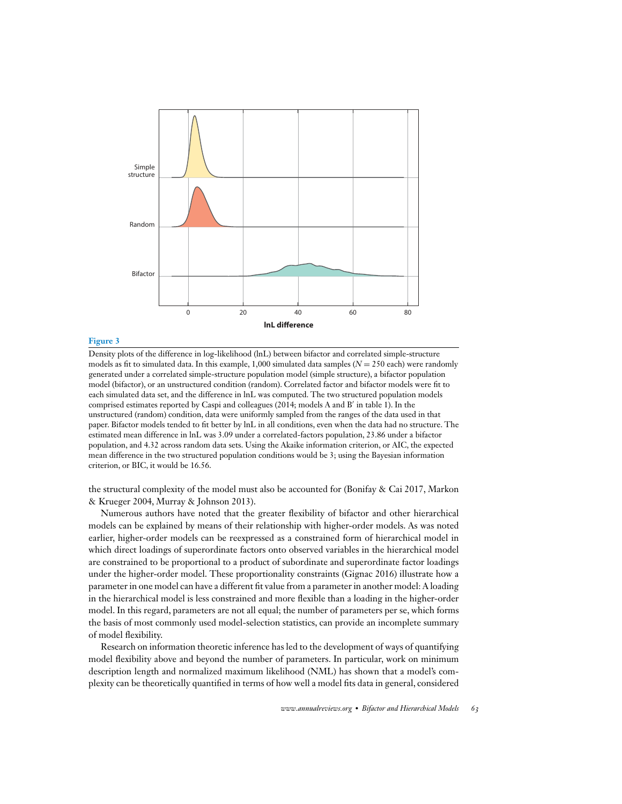

#### **Figure 3**

Density plots of the difference in log-likelihood (lnL) between bifactor and correlated simple-structure models as fit to simulated data. In this example, 1,000 simulated data samples  $(N = 250$  each) were randomly generated under a correlated simple-structure population model (simple structure), a bifactor population model (bifactor), or an unstructured condition (random). Correlated factor and bifactor models were fit to each simulated data set, and the difference in lnL was computed. The two structured population models comprised estimates reported by Caspi and colleagues (2014; models A and B′ in table 1). In the unstructured (random) condition, data were uniformly sampled from the ranges of the data used in that paper. Bifactor models tended to fit better by lnL in all conditions, even when the data had no structure. The estimated mean difference in lnL was 3.09 under a correlated-factors population, 23.86 under a bifactor population, and 4.32 across random data sets. Using the Akaike information criterion, or AIC, the expected mean difference in the two structured population conditions would be 3; using the Bayesian information criterion, or BIC, it would be 16.56.

the structural complexity of the model must also be accounted for (Bonifay & Cai 2017, Markon & Krueger 2004, Murray & Johnson 2013).

Numerous authors have noted that the greater flexibility of bifactor and other hierarchical models can be explained by means of their relationship with higher-order models. As was noted earlier, higher-order models can be reexpressed as a constrained form of hierarchical model in which direct loadings of superordinate factors onto observed variables in the hierarchical model are constrained to be proportional to a product of subordinate and superordinate factor loadings under the higher-order model. These proportionality constraints (Gignac 2016) illustrate how a parameter in one model can have a different fit value from a parameter in another model: A loading in the hierarchical model is less constrained and more flexible than a loading in the higher-order model. In this regard, parameters are not all equal; the number of parameters per se, which forms the basis of most commonly used model-selection statistics, can provide an incomplete summary of model flexibility.

Research on information theoretic inference has led to the development of ways of quantifying model flexibility above and beyond the number of parameters. In particular, work on minimum description length and normalized maximum likelihood (NML) has shown that a model's complexity can be theoretically quantified in terms of how well a model fits data in general, considered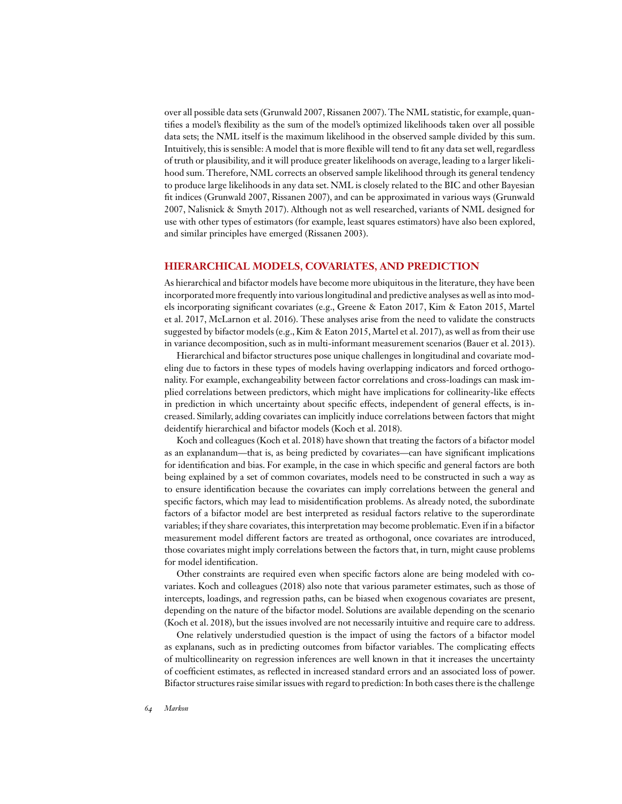over all possible data sets (Grunwald 2007, Rissanen 2007). The NML statistic, for example, quantifies a model's flexibility as the sum of the model's optimized likelihoods taken over all possible data sets; the NML itself is the maximum likelihood in the observed sample divided by this sum. Intuitively, this is sensible: A model that is more flexible will tend to fit any data set well, regardless of truth or plausibility, and it will produce greater likelihoods on average, leading to a larger likelihood sum. Therefore, NML corrects an observed sample likelihood through its general tendency to produce large likelihoods in any data set. NML is closely related to the BIC and other Bayesian fit indices (Grunwald 2007, Rissanen 2007), and can be approximated in various ways (Grunwald 2007, Nalisnick & Smyth 2017). Although not as well researched, variants of NML designed for use with other types of estimators (for example, least squares estimators) have also been explored, and similar principles have emerged (Rissanen 2003).

#### **HIERARCHICAL MODELS, COVARIATES, AND PREDICTION**

As hierarchical and bifactor models have become more ubiquitous in the literature, they have been incorporated more frequently into various longitudinal and predictive analyses as well as into models incorporating significant covariates (e.g., Greene & Eaton 2017, Kim & Eaton 2015, Martel et al. 2017, McLarnon et al. 2016). These analyses arise from the need to validate the constructs suggested by bifactor models (e.g., Kim & Eaton 2015, Martel et al. 2017), as well as from their use in variance decomposition, such as in multi-informant measurement scenarios (Bauer et al. 2013).

Hierarchical and bifactor structures pose unique challenges in longitudinal and covariate modeling due to factors in these types of models having overlapping indicators and forced orthogonality. For example, exchangeability between factor correlations and cross-loadings can mask implied correlations between predictors, which might have implications for collinearity-like effects in prediction in which uncertainty about specific effects, independent of general effects, is increased. Similarly, adding covariates can implicitly induce correlations between factors that might deidentify hierarchical and bifactor models (Koch et al. 2018).

Koch and colleagues (Koch et al. 2018) have shown that treating the factors of a bifactor model as an explanandum—that is, as being predicted by covariates—can have significant implications for identification and bias. For example, in the case in which specific and general factors are both being explained by a set of common covariates, models need to be constructed in such a way as to ensure identification because the covariates can imply correlations between the general and specific factors, which may lead to misidentification problems. As already noted, the subordinate factors of a bifactor model are best interpreted as residual factors relative to the superordinate variables; if they share covariates, this interpretation may become problematic. Even if in a bifactor measurement model different factors are treated as orthogonal, once covariates are introduced, those covariates might imply correlations between the factors that, in turn, might cause problems for model identification.

Other constraints are required even when specific factors alone are being modeled with covariates. Koch and colleagues (2018) also note that various parameter estimates, such as those of intercepts, loadings, and regression paths, can be biased when exogenous covariates are present, depending on the nature of the bifactor model. Solutions are available depending on the scenario (Koch et al. 2018), but the issues involved are not necessarily intuitive and require care to address.

One relatively understudied question is the impact of using the factors of a bifactor model as explanans, such as in predicting outcomes from bifactor variables. The complicating effects of multicollinearity on regression inferences are well known in that it increases the uncertainty of coefficient estimates, as reflected in increased standard errors and an associated loss of power. Bifactor structures raise similar issues with regard to prediction: In both cases there is the challenge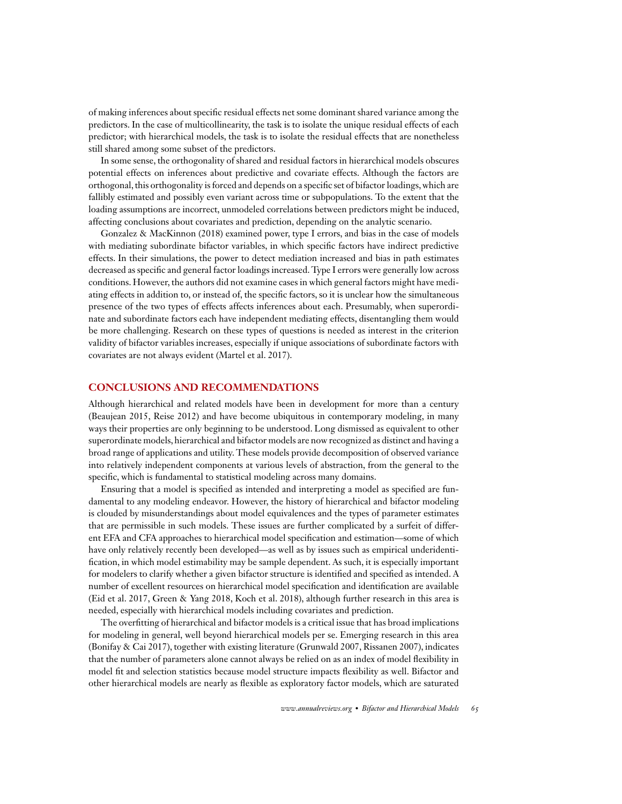of making inferences about specific residual effects net some dominant shared variance among the predictors. In the case of multicollinearity, the task is to isolate the unique residual effects of each predictor; with hierarchical models, the task is to isolate the residual effects that are nonetheless still shared among some subset of the predictors.

In some sense, the orthogonality of shared and residual factors in hierarchical models obscures potential effects on inferences about predictive and covariate effects. Although the factors are orthogonal, this orthogonality is forced and depends on a specific set of bifactor loadings, which are fallibly estimated and possibly even variant across time or subpopulations. To the extent that the loading assumptions are incorrect, unmodeled correlations between predictors might be induced, affecting conclusions about covariates and prediction, depending on the analytic scenario.

Gonzalez & MacKinnon (2018) examined power, type I errors, and bias in the case of models with mediating subordinate bifactor variables, in which specific factors have indirect predictive effects. In their simulations, the power to detect mediation increased and bias in path estimates decreased as specific and general factor loadings increased. Type I errors were generally low across conditions. However, the authors did not examine cases in which general factors might have mediating effects in addition to, or instead of, the specific factors, so it is unclear how the simultaneous presence of the two types of effects affects inferences about each. Presumably, when superordinate and subordinate factors each have independent mediating effects, disentangling them would be more challenging. Research on these types of questions is needed as interest in the criterion validity of bifactor variables increases, especially if unique associations of subordinate factors with covariates are not always evident (Martel et al. 2017).

#### **CONCLUSIONS AND RECOMMENDATIONS**

Although hierarchical and related models have been in development for more than a century (Beaujean 2015, Reise 2012) and have become ubiquitous in contemporary modeling, in many ways their properties are only beginning to be understood. Long dismissed as equivalent to other superordinate models, hierarchical and bifactor models are now recognized as distinct and having a broad range of applications and utility. These models provide decomposition of observed variance into relatively independent components at various levels of abstraction, from the general to the specific, which is fundamental to statistical modeling across many domains.

Ensuring that a model is specified as intended and interpreting a model as specified are fundamental to any modeling endeavor. However, the history of hierarchical and bifactor modeling is clouded by misunderstandings about model equivalences and the types of parameter estimates that are permissible in such models. These issues are further complicated by a surfeit of different EFA and CFA approaches to hierarchical model specification and estimation—some of which have only relatively recently been developed—as well as by issues such as empirical underidentification, in which model estimability may be sample dependent. As such, it is especially important for modelers to clarify whether a given bifactor structure is identified and specified as intended. A number of excellent resources on hierarchical model specification and identification are available (Eid et al. 2017, Green & Yang 2018, Koch et al. 2018), although further research in this area is needed, especially with hierarchical models including covariates and prediction.

The overfitting of hierarchical and bifactor models is a critical issue that has broad implications for modeling in general, well beyond hierarchical models per se. Emerging research in this area (Bonifay & Cai 2017), together with existing literature (Grunwald 2007, Rissanen 2007), indicates that the number of parameters alone cannot always be relied on as an index of model flexibility in model fit and selection statistics because model structure impacts flexibility as well. Bifactor and other hierarchical models are nearly as flexible as exploratory factor models, which are saturated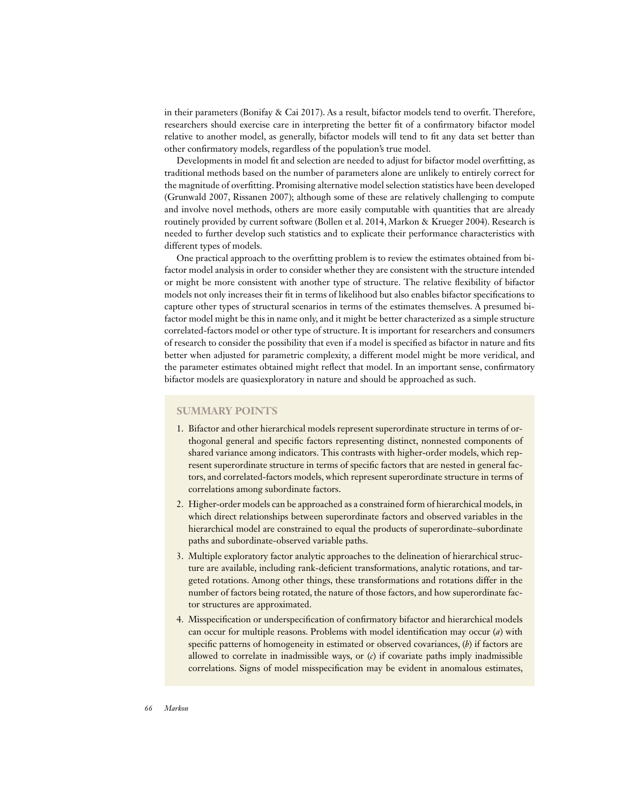in their parameters (Bonifay & Cai 2017). As a result, bifactor models tend to overfit. Therefore, researchers should exercise care in interpreting the better fit of a confirmatory bifactor model relative to another model, as generally, bifactor models will tend to fit any data set better than other confirmatory models, regardless of the population's true model.

Developments in model fit and selection are needed to adjust for bifactor model overfitting, as traditional methods based on the number of parameters alone are unlikely to entirely correct for the magnitude of overfitting. Promising alternative model selection statistics have been developed (Grunwald 2007, Rissanen 2007); although some of these are relatively challenging to compute and involve novel methods, others are more easily computable with quantities that are already routinely provided by current software (Bollen et al. 2014, Markon & Krueger 2004). Research is needed to further develop such statistics and to explicate their performance characteristics with different types of models.

One practical approach to the overfitting problem is to review the estimates obtained from bifactor model analysis in order to consider whether they are consistent with the structure intended or might be more consistent with another type of structure. The relative flexibility of bifactor models not only increases their fit in terms of likelihood but also enables bifactor specifications to capture other types of structural scenarios in terms of the estimates themselves. A presumed bifactor model might be this in name only, and it might be better characterized as a simple structure correlated-factors model or other type of structure. It is important for researchers and consumers of research to consider the possibility that even if a model is specified as bifactor in nature and fits better when adjusted for parametric complexity, a different model might be more veridical, and the parameter estimates obtained might reflect that model. In an important sense, confirmatory bifactor models are quasiexploratory in nature and should be approached as such.

#### **SUMMARY POINTS**

- 1. Bifactor and other hierarchical models represent superordinate structure in terms of orthogonal general and specific factors representing distinct, nonnested components of shared variance among indicators. This contrasts with higher-order models, which represent superordinate structure in terms of specific factors that are nested in general factors, and correlated-factors models, which represent superordinate structure in terms of correlations among subordinate factors.
- 2. Higher-order models can be approached as a constrained form of hierarchical models, in which direct relationships between superordinate factors and observed variables in the hierarchical model are constrained to equal the products of superordinate–subordinate paths and subordinate-observed variable paths.
- 3. Multiple exploratory factor analytic approaches to the delineation of hierarchical structure are available, including rank-deficient transformations, analytic rotations, and targeted rotations. Among other things, these transformations and rotations differ in the number of factors being rotated, the nature of those factors, and how superordinate factor structures are approximated.
- 4. Misspecification or underspecification of confirmatory bifactor and hierarchical models can occur for multiple reasons. Problems with model identification may occur (*a*) with specific patterns of homogeneity in estimated or observed covariances, (*b*) if factors are allowed to correlate in inadmissible ways, or (*c*) if covariate paths imply inadmissible correlations. Signs of model misspecification may be evident in anomalous estimates,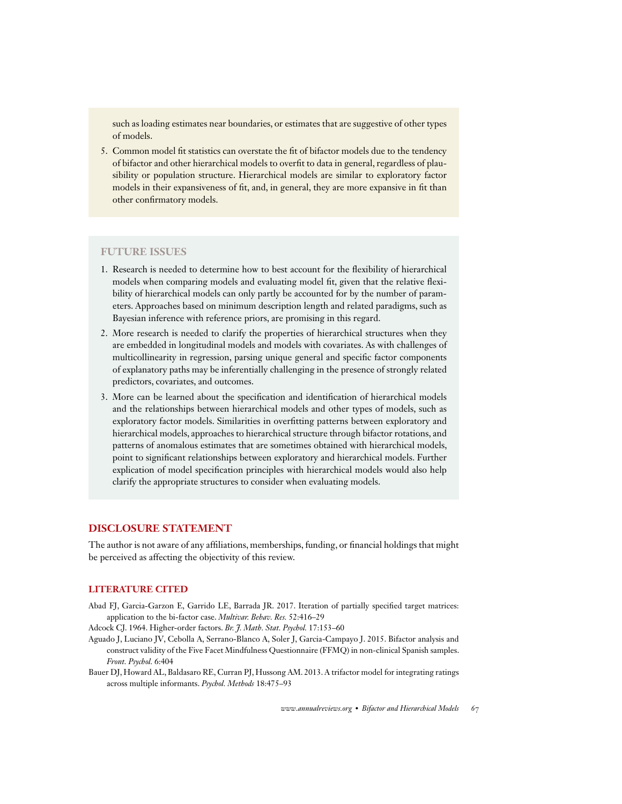such as loading estimates near boundaries, or estimates that are suggestive of other types of models.

5. Common model fit statistics can overstate the fit of bifactor models due to the tendency of bifactor and other hierarchical models to overfit to data in general, regardless of plausibility or population structure. Hierarchical models are similar to exploratory factor models in their expansiveness of fit, and, in general, they are more expansive in fit than other confirmatory models.

#### **FUTURE ISSUES**

- 1. Research is needed to determine how to best account for the flexibility of hierarchical models when comparing models and evaluating model fit, given that the relative flexibility of hierarchical models can only partly be accounted for by the number of parameters. Approaches based on minimum description length and related paradigms, such as Bayesian inference with reference priors, are promising in this regard.
- 2. More research is needed to clarify the properties of hierarchical structures when they are embedded in longitudinal models and models with covariates. As with challenges of multicollinearity in regression, parsing unique general and specific factor components of explanatory paths may be inferentially challenging in the presence of strongly related predictors, covariates, and outcomes.
- 3. More can be learned about the specification and identification of hierarchical models and the relationships between hierarchical models and other types of models, such as exploratory factor models. Similarities in overfitting patterns between exploratory and hierarchical models, approaches to hierarchical structure through bifactor rotations, and patterns of anomalous estimates that are sometimes obtained with hierarchical models, point to significant relationships between exploratory and hierarchical models. Further explication of model specification principles with hierarchical models would also help clarify the appropriate structures to consider when evaluating models.

#### **DISCLOSURE STATEMENT**

The author is not aware of any affiliations, memberships, funding, or financial holdings that might be perceived as affecting the objectivity of this review.

#### **LITERATURE CITED**

Abad FJ, Garcia-Garzon E, Garrido LE, Barrada JR. 2017. Iteration of partially specified target matrices: application to the bi-factor case. *Multivar. Behav. Res.* 52:416–29

Adcock CJ. 1964. Higher-order factors. *Br. J. Math. Stat. Psychol.* 17:153–60

- Aguado J, Luciano JV, Cebolla A, Serrano-Blanco A, Soler J, Garcia-Campayo J. 2015. Bifactor analysis and construct validity of the Five Facet Mindfulness Questionnaire (FFMQ) in non-clinical Spanish samples. *Front. Psychol.* 6:404
- Bauer DJ, Howard AL, Baldasaro RE, Curran PJ, Hussong AM. 2013. A trifactor model for integrating ratings across multiple informants. *Psychol. Methods* 18:475–93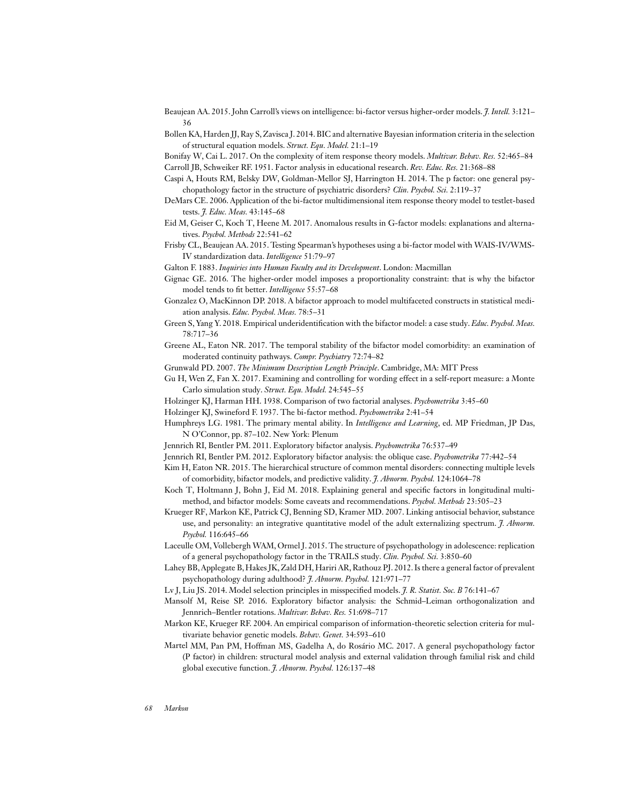- Beaujean AA. 2015. John Carroll's views on intelligence: bi-factor versus higher-order models. *J. Intell.* 3:121– 36
- Bollen KA, Harden JJ, Ray S, Zavisca J. 2014. BIC and alternative Bayesian information criteria in the selection of structural equation models. *Struct. Equ. Model.* 21:1–19

Bonifay W, Cai L. 2017. On the complexity of item response theory models. *Multivar. Behav. Res.* 52:465–84

Carroll JB, Schweiker RF. 1951. Factor analysis in educational research. *Rev. Educ. Res.* 21:368–88

- Caspi A, Houts RM, Belsky DW, Goldman-Mellor SJ, Harrington H. 2014. The p factor: one general psychopathology factor in the structure of psychiatric disorders? *Clin. Psychol. Sci.* 2:119–37
- DeMars CE. 2006. Application of the bi-factor multidimensional item response theory model to testlet-based tests. *J. Educ. Meas.* 43:145–68
- Eid M, Geiser C, Koch T, Heene M. 2017. Anomalous results in G-factor models: explanations and alternatives. *Psychol. Methods* 22:541–62
- Frisby CL, Beaujean AA. 2015. Testing Spearman's hypotheses using a bi-factor model with WAIS-IV/WMS-IV standardization data. *Intelligence* 51:79–97
- Galton F. 1883. *Inquiries into Human Faculty and its Development*. London: Macmillan
- Gignac GE. 2016. The higher-order model imposes a proportionality constraint: that is why the bifactor model tends to fit better. *Intelligence* 55:57–68
- Gonzalez O, MacKinnon DP. 2018. A bifactor approach to model multifaceted constructs in statistical mediation analysis. *Educ. Psychol. Meas.* 78:5–31
- Green S, Yang Y. 2018. Empirical underidentification with the bifactor model: a case study. *Educ. Psychol. Meas.* 78:717–36
- Greene AL, Eaton NR. 2017. The temporal stability of the bifactor model comorbidity: an examination of moderated continuity pathways. *Compr. Psychiatry* 72:74–82
- Grunwald PD. 2007. *The Minimum Description Length Principle*. Cambridge, MA: MIT Press
- Gu H, Wen Z, Fan X. 2017. Examining and controlling for wording effect in a self-report measure: a Monte Carlo simulation study. *Struct. Equ. Model.* 24:545–55
- Holzinger KJ, Harman HH. 1938. Comparison of two factorial analyses. *Psychometrika* 3:45–60
- Holzinger KJ, Swineford F. 1937. The bi-factor method. *Psychometrika* 2:41–54
- Humphreys LG. 1981. The primary mental ability. In *Intelligence and Learning*, ed. MP Friedman, JP Das, N O'Connor, pp. 87–102. New York: Plenum
- Jennrich RI, Bentler PM. 2011. Exploratory bifactor analysis. *Psychometrika* 76:537–49
- Jennrich RI, Bentler PM. 2012. Exploratory bifactor analysis: the oblique case. *Psychometrika* 77:442–54
- Kim H, Eaton NR. 2015. The hierarchical structure of common mental disorders: connecting multiple levels of comorbidity, bifactor models, and predictive validity. *J. Abnorm. Psychol.* 124:1064–78
- Koch T, Holtmann J, Bohn J, Eid M. 2018. Explaining general and specific factors in longitudinal multimethod, and bifactor models: Some caveats and recommendations. *Psychol. Methods* 23:505–23
- Krueger RF, Markon KE, Patrick CJ, Benning SD, Kramer MD. 2007. Linking antisocial behavior, substance use, and personality: an integrative quantitative model of the adult externalizing spectrum. *J. Abnorm. Psychol.* 116:645–66
- Laceulle OM, Vollebergh WAM, Ormel J. 2015. The structure of psychopathology in adolescence: replication of a general psychopathology factor in the TRAILS study. *Clin. Psychol. Sci.* 3:850–60
- Lahey BB, Applegate B, Hakes JK, Zald DH, Hariri AR, Rathouz PJ. 2012. Is there a general factor of prevalent psychopathology during adulthood? *J. Abnorm. Psychol.* 121:971–77
- Lv J, Liu JS. 2014. Model selection principles in misspecified models. *J. R. Statist. Soc. B* 76:141–67
- Mansolf M, Reise SP. 2016. Exploratory bifactor analysis: the Schmid–Leiman orthogonalization and Jennrich–Bentler rotations. *Multivar. Behav. Res.* 51:698–717
- Markon KE, Krueger RF. 2004. An empirical comparison of information-theoretic selection criteria for multivariate behavior genetic models. *Behav. Genet.* 34:593–610
- Martel MM, Pan PM, Hoffman MS, Gadelha A, do Rosário MC. 2017. A general psychopathology factor (P factor) in children: structural model analysis and external validation through familial risk and child global executive function. *J. Abnorm. Psychol.* 126:137–48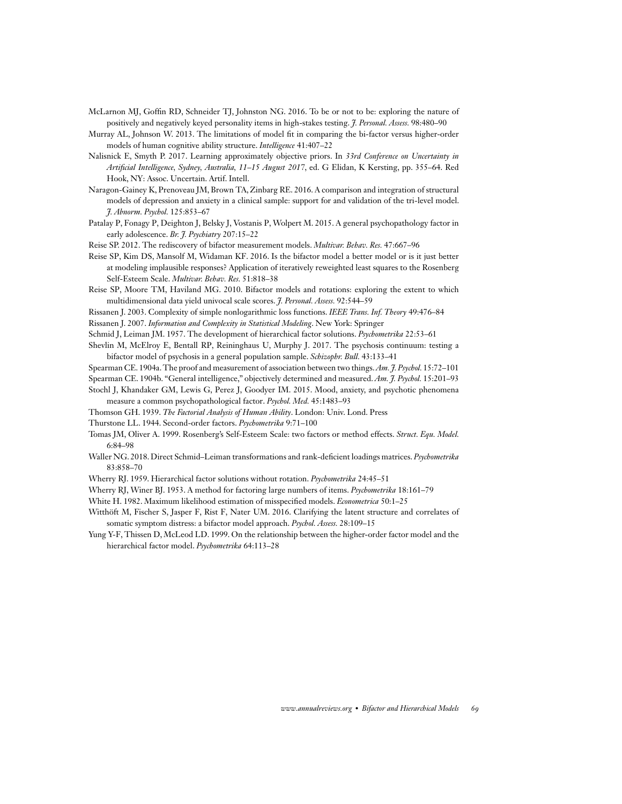- McLarnon MJ, Goffin RD, Schneider TJ, Johnston NG. 2016. To be or not to be: exploring the nature of positively and negatively keyed personality items in high-stakes testing. *J. Personal. Assess.* 98:480–90
- Murray AL, Johnson W. 2013. The limitations of model fit in comparing the bi-factor versus higher-order models of human cognitive ability structure. *Intelligence* 41:407–22
- Nalisnick E, Smyth P. 2017. Learning approximately objective priors. In *33rd Conference on Uncertainty in Artificial Intelligence, Sydney, Australia, 11–15 August 2017*, ed. G Elidan, K Kersting, pp. 355–64. Red Hook, NY: Assoc. Uncertain. Artif. Intell.
- Naragon-Gainey K, Prenoveau JM, Brown TA, Zinbarg RE. 2016. A comparison and integration of structural models of depression and anxiety in a clinical sample: support for and validation of the tri-level model. *J. Abnorm. Psychol.* 125:853–67
- Patalay P, Fonagy P, Deighton J, Belsky J, Vostanis P, Wolpert M. 2015. A general psychopathology factor in early adolescence. *Br. J. Psychiatry* 207:15–22
- Reise SP. 2012. The rediscovery of bifactor measurement models. *Multivar. Behav. Res.* 47:667–96
- Reise SP, Kim DS, Mansolf M, Widaman KF. 2016. Is the bifactor model a better model or is it just better at modeling implausible responses? Application of iteratively reweighted least squares to the Rosenberg Self-Esteem Scale. *Multivar. Behav. Res.* 51:818–38
- Reise SP, Moore TM, Haviland MG. 2010. Bifactor models and rotations: exploring the extent to which multidimensional data yield univocal scale scores. *J. Personal. Assess.* 92:544–59
- Rissanen J. 2003. Complexity of simple nonlogarithmic loss functions. *IEEE Trans. Inf. Theory* 49:476–84
- Rissanen J. 2007. *Information and Complexity in Statistical Modeling*. New York: Springer
- Schmid J, Leiman JM. 1957. The development of hierarchical factor solutions. *Psychometrika* 22:53–61
- Shevlin M, McElroy E, Bentall RP, Reininghaus U, Murphy J. 2017. The psychosis continuum: testing a bifactor model of psychosis in a general population sample. *Schizophr. Bull.* 43:133–41
- Spearman CE. 1904a. The proof and measurement of association between two things.*Am. J. Psychol.* 15:72–101
- Spearman CE. 1904b. "General intelligence," objectively determined and measured. *Am. J. Psychol.* 15:201–93
- Stochl J, Khandaker GM, Lewis G, Perez J, Goodyer IM. 2015. Mood, anxiety, and psychotic phenomena measure a common psychopathological factor. *Psychol. Med.* 45:1483–93
- Thomson GH. 1939. *The Factorial Analysis of Human Ability*. London: Univ. Lond. Press
- Thurstone LL. 1944. Second-order factors. *Psychometrika* 9:71–100
- Tomas JM, Oliver A. 1999. Rosenberg's Self-Esteem Scale: two factors or method effects. *Struct. Equ. Model.* 6:84–98
- Waller NG. 2018. Direct Schmid–Leiman transformations and rank-deficient loadings matrices. *Psychometrika* 83:858–70
- Wherry RJ. 1959. Hierarchical factor solutions without rotation. *Psychometrika* 24:45–51
- Wherry RJ, Winer BJ. 1953. A method for factoring large numbers of items. *Psychometrika* 18:161–79
- White H. 1982. Maximum likelihood estimation of misspecified models. *Econometrica* 50:1–25
- Witthöft M, Fischer S, Jasper F, Rist F, Nater UM. 2016. Clarifying the latent structure and correlates of somatic symptom distress: a bifactor model approach. *Psychol. Assess.* 28:109–15
- Yung Y-F, Thissen D, McLeod LD. 1999. On the relationship between the higher-order factor model and the hierarchical factor model. *Psychometrika* 64:113–28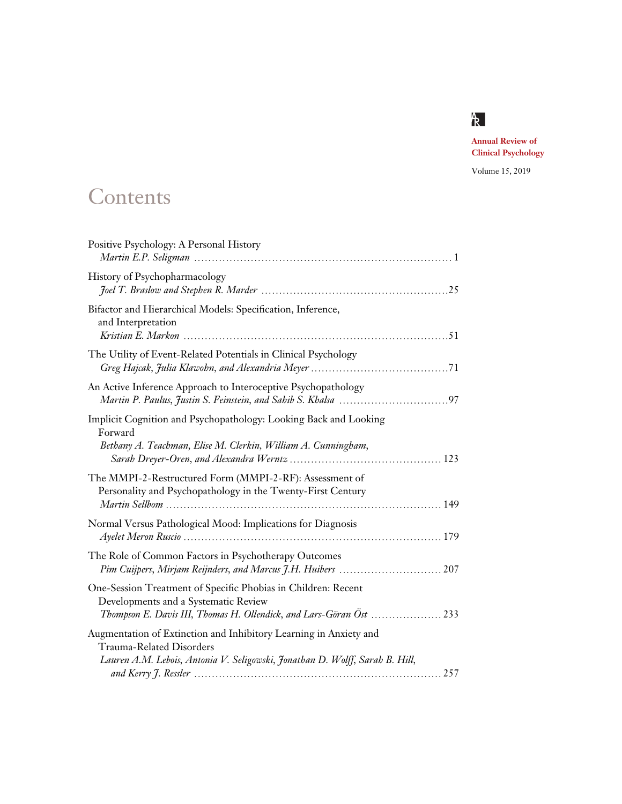

**Annual Review of Clinical Psychology**

Volume 15, 2019

## **Contents**

| Positive Psychology: A Personal History                                                                                                                                       |
|-------------------------------------------------------------------------------------------------------------------------------------------------------------------------------|
| History of Psychopharmacology                                                                                                                                                 |
| Bifactor and Hierarchical Models: Specification, Inference,<br>and Interpretation                                                                                             |
| The Utility of Event-Related Potentials in Clinical Psychology                                                                                                                |
| An Active Inference Approach to Interoceptive Psychopathology                                                                                                                 |
| Implicit Cognition and Psychopathology: Looking Back and Looking<br>Forward<br>Bethany A. Teachman, Elise M. Clerkin, William A. Cunningham,                                  |
| The MMPI-2-Restructured Form (MMPI-2-RF): Assessment of<br>Personality and Psychopathology in the Twenty-First Century<br>149                                                 |
| Normal Versus Pathological Mood: Implications for Diagnosis                                                                                                                   |
| The Role of Common Factors in Psychotherapy Outcomes                                                                                                                          |
| One-Session Treatment of Specific Phobias in Children: Recent<br>Developments and a Systematic Review<br>Thompson E. Davis III, Thomas H. Ollendick, and Lars-Göran Öst  233  |
| Augmentation of Extinction and Inhibitory Learning in Anxiety and<br>Trauma-Related Disorders<br>Lauren A.M. Lebois, Antonia V. Seligowski, Jonathan D. Wolff, Sarah B. Hill, |